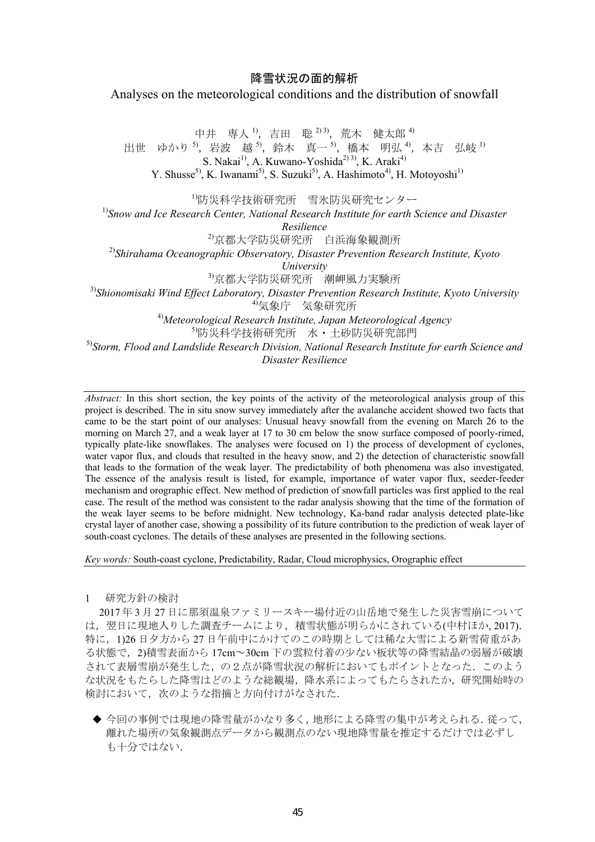## 降雪状況の面的解析 Analyses on the meteorological conditions and the distribution of snowfall

中井 専人<sup>1</sup>, 吉田 聡 <sup>2) 3)</sup>, 荒木 健太郎 <sup>4)</sup> 出世 ゆかり<sup>5</sup>, 岩波 越<sup>5</sup>, 鈴木 真一<sup>5</sup>, 橋本 明弘<sup>4</sup>, 本吉 弘岐<sup>1)</sup> S. Nakai<sup>1)</sup>, A. Kuwano-Yoshida<sup>2) 3)</sup>, K. Araki<sup>4)</sup> Y. Shusse<sup>5)</sup>, K. Iwanami<sup>5)</sup>, S. Suzuki<sup>5)</sup>, A. Hashimoto<sup>4)</sup>, H. Motoyoshi<sup>1)</sup> 1)防災科学技術研究所 雪氷防災研究センター <sup>1)</sup>Snow and Ice Research Center, National Research Institute for earth Science and Disaster *Resilience*  2)京都大学防災研究所 白浜海象観測所 2)*Shirahama Oceanographic Observatory, Disaster Prevention Research Institute, Kyoto University* 3)京都大学防災研究所 潮岬風力実験所 3)*Shionomisaki Wind Effect Laboratory, Disaster Prevention Research Institute, Kyoto University* 4)気象庁 気象研究所 4)*Meteorological Research Institute, Japan Meteorological Agency*  5)防災科学技術研究所 水・土砂防災研究部門 5)*Storm, Flood and Landslide Research Division, National Research Institute for earth Science and* 

*Disaster Resilience* 

*Abstract:* In this short section, the key points of the activity of the meteorological analysis group of this project is described. The in situ snow survey immediately after the avalanche accident showed two facts that came to be the start point of our analyses: Unusual heavy snowfall from the evening on March 26 to the morning on March 27, and a weak layer at 17 to 30 cm below the snow surface composed of poorly-rimed, typically plate-like snowflakes. The analyses were focused on 1) the process of development of cyclones, water vapor flux, and clouds that resulted in the heavy snow, and 2) the detection of characteristic snowfall that leads to the formation of the weak layer. The predictability of both phenomena was also investigated. The essence of the analysis result is listed, for example, importance of water vapor flux, seeder-feeder mechanism and orographic effect. New method of prediction of snowfall particles was first applied to the real case. The result of the method was consistent to the radar analysis showing that the time of the formation of the weak layer seems to be before midnight. New technology, Ka-band radar analysis detected plate-like crystal layer of another case, showing a possibility of its future contribution to the prediction of weak layer of south-coast cyclones. The details of these analyses are presented in the following sections.

*Key words:* South-coast cyclone, Predictability, Radar, Cloud microphysics, Orographic effect

1 研究方針の検討

2017 年 3 月 27 日に那須温泉ファミリースキー場付近の山岳地で発生した災害雪崩について は、翌日に現地入りした調査チームにより、積雪状態が明らかにされている(中村ほか, 2017). 特に,1)26 日夕方から 27 日午前中にかけてのこの時期としては稀な大雪による新雪荷重があ る状態で,2)積雪表面から 17cm~30cm 下の雲粒付着の少ない板状等の降雪結晶の弱層が破壊 されて表層雪崩が発生した,の2点が降雪状況の解析においてもポイントとなった.このよう な状況をもたらした降雪はどのような総観場,降水系によってもたらされたか,研究開始時の 検討において,次のような指摘と方向付けがなされた.

◆ 今回の事例では現地の降雪量がかなり多く,地形による降雪の集中が考えられる.従って, 離れた場所の気象観測点データから観測点のない現地降雪量を推定するだけでは必ずし も十分ではない.